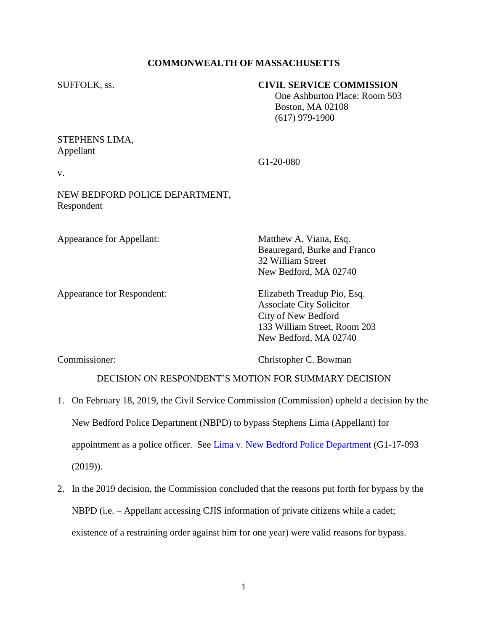## **COMMONWEALTH OF MASSACHUSETTS**

### SUFFOLK, ss. **CIVIL SERVICE COMMISSION**

 One Ashburton Place: Room 503 Boston, MA 02108 (617) 979-1900

## STEPHENS LIMA, Appellant

G1-20-080

v.

NEW BEDFORD POLICE DEPARTMENT, Respondent

Appearance for Appellant: Matthew A. Viana, Esq.

Appearance for Respondent: Elizabeth Treadup Pio, Esq.

Beauregard, Burke and Franco 32 William Street New Bedford, MA 02740

Associate City Solicitor City of New Bedford 133 William Street, Room 203 New Bedford, MA 02740

Commissioner: Christopher C. Bowman

DECISION ON RESPONDENT'S MOTION FOR SUMMARY DECISION

- 1. On February 18, 2019, the Civil Service Commission (Commission) upheld a decision by the New Bedford Police Department (NBPD) to bypass Stephens Lima (Appellant) for appointment as a police officer. See [Lima v. New Bedford Police Department](https://www.mass.gov/doc/lima-stephens-v-city-of-new-bedford-21819/download) (G1-17-093 (2019)).
- 2. In the 2019 decision, the Commission concluded that the reasons put forth for bypass by the NBPD (i.e. – Appellant accessing CJIS information of private citizens while a cadet; existence of a restraining order against him for one year) were valid reasons for bypass.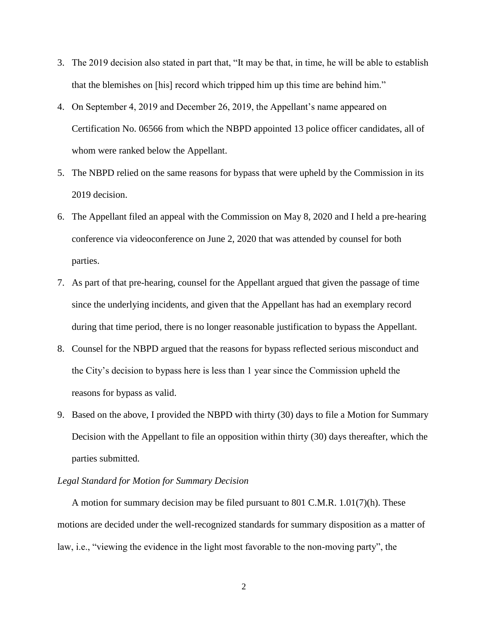- 3. The 2019 decision also stated in part that, "It may be that, in time, he will be able to establish that the blemishes on [his] record which tripped him up this time are behind him."
- 4. On September 4, 2019 and December 26, 2019, the Appellant's name appeared on Certification No. 06566 from which the NBPD appointed 13 police officer candidates, all of whom were ranked below the Appellant.
- 5. The NBPD relied on the same reasons for bypass that were upheld by the Commission in its 2019 decision.
- 6. The Appellant filed an appeal with the Commission on May 8, 2020 and I held a pre-hearing conference via videoconference on June 2, 2020 that was attended by counsel for both parties.
- 7. As part of that pre-hearing, counsel for the Appellant argued that given the passage of time since the underlying incidents, and given that the Appellant has had an exemplary record during that time period, there is no longer reasonable justification to bypass the Appellant.
- 8. Counsel for the NBPD argued that the reasons for bypass reflected serious misconduct and the City's decision to bypass here is less than 1 year since the Commission upheld the reasons for bypass as valid.
- 9. Based on the above, I provided the NBPD with thirty (30) days to file a Motion for Summary Decision with the Appellant to file an opposition within thirty (30) days thereafter, which the parties submitted.

### *Legal Standard for Motion for Summary Decision*

A motion for summary decision may be filed pursuant to 801 C.M.R. 1.01(7)(h). These motions are decided under the well-recognized standards for summary disposition as a matter of law, i.e., "viewing the evidence in the light most favorable to the non-moving party", the

2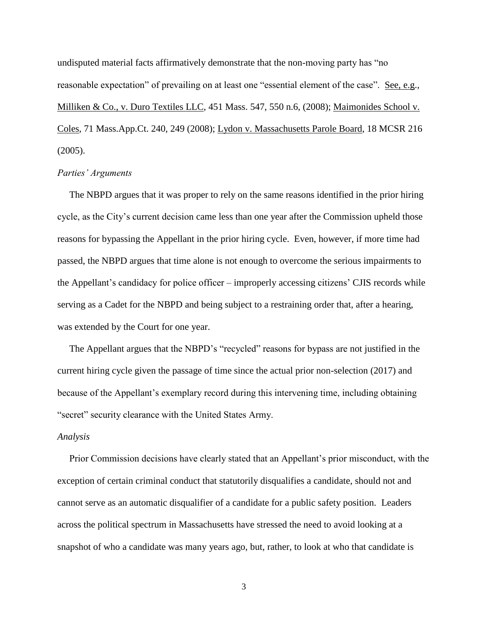undisputed material facts affirmatively demonstrate that the non-moving party has "no reasonable expectation" of prevailing on at least one "essential element of the case". See, e.g., Milliken & Co., v. Duro Textiles LLC, 451 Mass. 547, 550 n.6, (2008); Maimonides School v. Coles, 71 Mass.App.Ct. 240, 249 (2008); Lydon v. Massachusetts Parole Board, 18 MCSR 216 (2005).

### *Parties' Arguments*

 The NBPD argues that it was proper to rely on the same reasons identified in the prior hiring cycle, as the City's current decision came less than one year after the Commission upheld those reasons for bypassing the Appellant in the prior hiring cycle. Even, however, if more time had passed, the NBPD argues that time alone is not enough to overcome the serious impairments to the Appellant's candidacy for police officer – improperly accessing citizens' CJIS records while serving as a Cadet for the NBPD and being subject to a restraining order that, after a hearing, was extended by the Court for one year.

 The Appellant argues that the NBPD's "recycled" reasons for bypass are not justified in the current hiring cycle given the passage of time since the actual prior non-selection (2017) and because of the Appellant's exemplary record during this intervening time, including obtaining "secret" security clearance with the United States Army.

#### *Analysis*

 Prior Commission decisions have clearly stated that an Appellant's prior misconduct, with the exception of certain criminal conduct that statutorily disqualifies a candidate, should not and cannot serve as an automatic disqualifier of a candidate for a public safety position. Leaders across the political spectrum in Massachusetts have stressed the need to avoid looking at a snapshot of who a candidate was many years ago, but, rather, to look at who that candidate is

3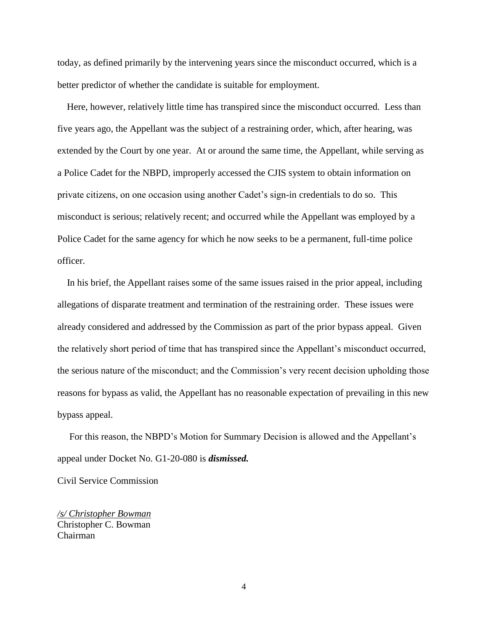today, as defined primarily by the intervening years since the misconduct occurred, which is a better predictor of whether the candidate is suitable for employment.

 Here, however, relatively little time has transpired since the misconduct occurred. Less than five years ago, the Appellant was the subject of a restraining order, which, after hearing, was extended by the Court by one year. At or around the same time, the Appellant, while serving as a Police Cadet for the NBPD, improperly accessed the CJIS system to obtain information on private citizens, on one occasion using another Cadet's sign-in credentials to do so. This misconduct is serious; relatively recent; and occurred while the Appellant was employed by a Police Cadet for the same agency for which he now seeks to be a permanent, full-time police officer.

 In his brief, the Appellant raises some of the same issues raised in the prior appeal, including allegations of disparate treatment and termination of the restraining order. These issues were already considered and addressed by the Commission as part of the prior bypass appeal. Given the relatively short period of time that has transpired since the Appellant's misconduct occurred, the serious nature of the misconduct; and the Commission's very recent decision upholding those reasons for bypass as valid, the Appellant has no reasonable expectation of prevailing in this new bypass appeal.

 For this reason, the NBPD's Motion for Summary Decision is allowed and the Appellant's appeal under Docket No. G1-20-080 is *dismissed.*

Civil Service Commission

*/s/ Christopher Bowman* Christopher C. Bowman Chairman